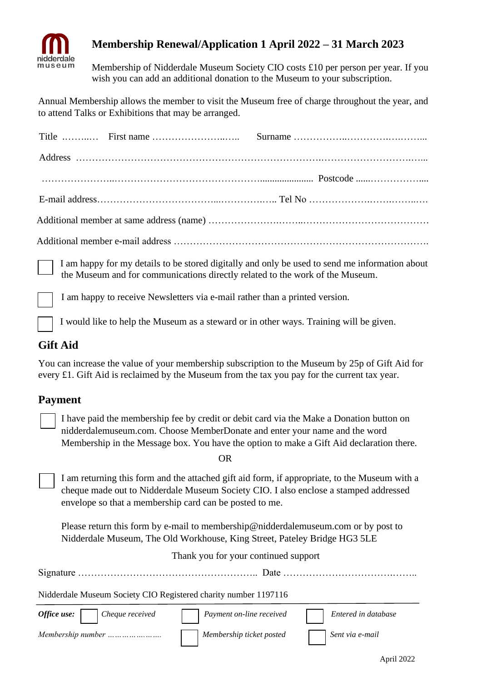

## **Membership Renewal/Application 1 April 2022 – 31 March 2023**

Membership of Nidderdale Museum Society CIO costs £10 per person per year. If you wish you can add an additional donation to the Museum to your subscription.

Annual Membership allows the member to visit the Museum free of charge throughout the year, and to attend Talks or Exhibitions that may be arranged.

 I am happy for my details to be stored digitally and only be used to send me information about the Museum and for communications directly related to the work of the Museum.

I am happy to receive Newsletters via e-mail rather than a printed version.

I would like to help the Museum as a steward or in other ways. Training will be given.

### **Gift Aid**

You can increase the value of your membership subscription to the Museum by 25p of Gift Aid for every £1. Gift Aid is reclaimed by the Museum from the tax you pay for the current tax year.

### **Payment**

I have paid the membership fee by credit or debit card via the Make a Donation button on nidderdalemuseum.com. Choose MemberDonate and enter your name and the word Membership in the Message box. You have the option to make a Gift Aid declaration there.

OR

I am returning this form and the attached gift aid form, if appropriate, to the Museum with a cheque made out to Nidderdale Museum Society CIO. I also enclose a stamped addressed envelope so that a membership card can be posted to me.

Please return this form by e-mail to membership@nidderdalemuseum.com or by post to Nidderdale Museum, The Old Workhouse, King Street, Pateley Bridge HG3 5LE

Thank you for your continued support

|  | $\sim$ |  |
|--|--------|--|
|--|--------|--|

Nidderdale Museum Society CIO Registered charity number 1197116

| Office use:<br>Cheque received | <i>Payment on-line received</i> | Entered in database |
|--------------------------------|---------------------------------|---------------------|
| Membership number              | Membership ticket posted        | Sent via e-mail     |